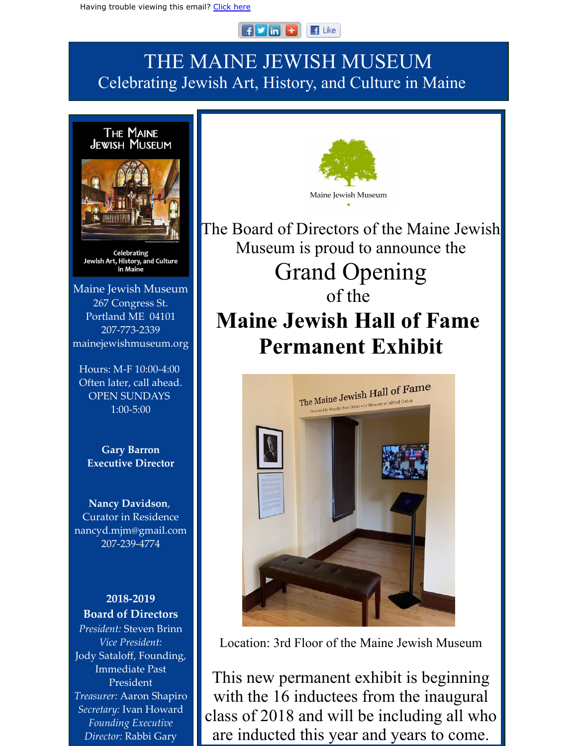#### $F$  in  $F$  $\blacksquare$  Like

## THE MAINE JEWISH MUSEUM Celebrating Jewish Art, History, and Culture in Maine



Celebrating Jewish Art, History, and Culture in Maine

Maine Jewish Museum 267 Congress St. Portland ME 04101 207-773-2339 mainejewishmuseum.org

Hours: M-F 10:00-4:00 Often later, call ahead. OPEN SUNDAYS 1:00-5:00

**Gary Barron Executive Director**

**Nancy Davidson**, Curator in Residence nancyd.mjm@gmail.com 207-239-4774

**2018-2019 Board of Directors** *President:* Steven Brinn *Vice President:* Jody Sataloff, Founding, Immediate Past President *Treasurer:* Aaron Shapiro *Secretary:* Ivan Howard *Founding Executive Director:* Rabbi Gary



The Board of Directors of the Maine Jewish Museum is proud to announce the Grand Opening

# of the **Maine Jewish Hall of Fame Permanent Exhibit**



Location: 3rd Floor of the Maine Jewish Museum

This new permanent exhibit is beginning with the 16 inductees from the inaugural class of 2018 and will be including all who are inducted this year and years to come.